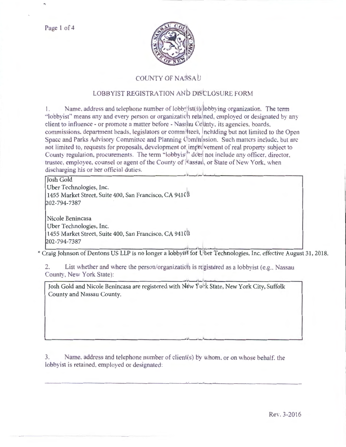Page 1 of 4



## COUNTY OF NASSAI

## LOBBYIST REGISTRATION AND DISCLOSURE FORM

Name, address and telephone number of lobby st(\t)) bbbying organization. The term L. "lobbyist" means any and every person or organization relained, employed or designated by any client to influence - or promote a matter before - Nass au Colinty, its agencies, boards, commissions, department heads, legislators or committeel, neluding but not limited to the Open Space and Parks Advisory Committee and Planning Commission. Such matters include, but are not limited to, requests for proposals, development or improvement of real property subject to County regulation, procurements. The term "lobbyis!" dde! not include any officer, director, trustee, employee, counsel or agent of the County of Massaul, or State of New York, when discharging his or her official duties.

**Josh Gold** Uber Technologies, Inc. 1455 Market Street, Suite 400, San Francisco, CA 941( 202-794-7387

Nicole Benincasa Uber Technologies, Inc. 1455 Market Street, Suite 400, San Francisco, CA 941(1) 202-794-7387

\* Craig Johnson of Dentons US LLP is no longer a lobbyit for Uber Technologies, Inc. effective August 31, 2018.

List whether and where the person/organization is registered as a lobbyist (e.g., Nassau  $2.$ County, New York State):

Josh Gold and Nicole Benincasa are registered with New York State, New York City, Suffolk County and Nassau County.

Name, address and telephone number of client(s) by whom, or on whose behalf, the 3. lobbyist is retained, employed or designated: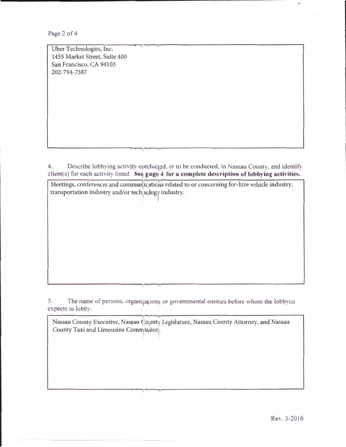Page 2 of 4

r-g-----.<br>| Ther Technologies Inc Uber Technologies, Inc. 1455 Market Street, Suite 400 San Francisco, CA 94103 202-794-7387

4. Describe lobbying activity conducted, or to be conducted, in Nassau County, and identify client(s) for each activity listed. Seq pagq 4 for a complete description of lobbying activities.

Meetings, conferences and communications related to or concerning for-hire vehicle industry, transportation industry and/or tech, hqlogy industry.

5. The name of persons, organi<sub>i</sub>a ions or governmental entities before whom the lobbyist expects to lobby:

 $\mathcal{N}$  . The set of the set of the set of the set of the set of the set of the set of the set of the set of the set of the set of the set of the set of the set of the set of the set of the set of the set of the set of t

Nassau County Executive, Nassau ('oµnty Legislature, Nassau County Attorney, and Nassau County Taxi and Limousine Commission.

,...., 1'1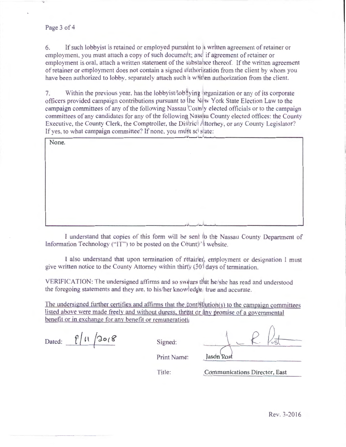## Page 3 of 4

If such lobbyist is retained or employed pursuant to a written agreement of retainer or 6. employment, you must attach a copy of such document; and if agreement of retainer or employment is oral, attach a written statement of the substance thereof. If the written agreement of retainer or employment does not contain a signed atthorization from the client by whom you have been authorized to lobby, separately attach such a whitlen authorization from the client.

Within the previous year, has the lobbyist/lobbying vrganization or any of its corporate 7. officers provided campaign contributions pursuant to the New York State Election Law to the campaign committees of any of the following Nassau County elected officials or to the campaign committees of any candidates for any of the following Nassau County elected offices: the County Executive, the County Clerk, the Comptroller, the District Attorney, or any County Legislator? If ves, to what campaign committee? If none, you must set state:

| None. |  |
|-------|--|
|       |  |
|       |  |
|       |  |
|       |  |
|       |  |
|       |  |
|       |  |
|       |  |

I understand that copies of this form will be sent to the Nassau County Department of Information Technology ("IT") to be posted on the Count is website.

I also understand that upon termination of retainer, employment or designation I must give written notice to the County Attorney within thirtly  $(30)$  days of termination.

VERIFICATION: The undersigned affirms and so swears that he/she has read and understood the foregoing statements and they are, to his/her knowledge, true and accurate.

The undersigned further certifies and affirms that the  $\frac{1}{2}$  pnt  $\frac{1}{2}$  ution(s) to the campaign committees listed above were made freely and without duress, threat or liny promise of a governmental benefit or in exchange for any benefit or remuneration

Dated:  $\int_{0}^{1}11\sqrt{3018}$ 

Signed:

Title:

Jasdn Rost

Print Name:

Communications Director, East